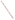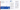"EPA should not view evaluation as something that is done at the end of a cycle, but rather as something that should be strategically planned at the start of a cycle as participatory objectives and benchmarks are being mutually developed in consultation with stakeholder populations."

John Stone, Institute for Food and Agricultural Standards, University of Michigan 2001 Dialogue on Public Involvement in EPA' Decisions

# What to Consider in Public Involvement Evaluations

When you think about evaluating public involvement efforts, start by analyzing the process and its component parts.

> What outcomes should your involvement process or activity produce? How will you know if you succeed in meeting your goals?

> For example, if one goal is to achieve broad, inclusive involvement, how will you measure how well you consulted with the targeted and affected groups? When building awareness is part of your public involvement process, how will you know if people are better informed about the issues?

The Web site for the "Internet Dialogue on Public Involvement in EPA Decisions" is http://www.network-democracy.org/epa-pip

# Step 7: Evaluate Public Involvement **Activities**

Evaluation tools such as surveys are used to set a performance baseline for measuring current and future improvements. Build your survey instruments and informal feedback opportunities so you will learn what works, what does not, and what to do to improve. Gather both qualitative and quantitative information.

Counting outputs such as how many brochures people take away from a meeting, how many people attended, or how many flyers you mailed is easy. Measuring outcomes is harder, but you will gather useful information that moves you to more effective processes and activities.

# More Information about the Policy

Copies of the Policy and the Framework for implementing it are available at http://www.epa.gov/publicinvolvement/policy2003/ policy2003.pdf and http://www.epa.gov/publicinvolvement/policy2003/ framework.pdf

EPA's Response to Comments on the Draft 2000 Public Involvement Policy is available at http://www.epa.gov/public involvement/policy2003/response.pdf

- Outcomes
- Lessons learned
- Institutional support
- Staff/budget
- Tools
- Measures

How to Evaluate Public Involvement



Involvement brings the pieces together



#### Goal:

- To evaluate the effectiveness of the Policy and of public involvement processes

The U.S. Environmental Protection Agency (EPA) issued its new Public Involvement Policy in June 2003. The Policy's overall goal is for excellent public involvement to become an integral part of EPA's culture, thus supporting more effective Agency actions.

The Policy provides guidance to EPA managers and staff on how you can better involve the public in the Agency's decisions. The Policy outlines seven steps to effective involvement. This brochure (one in a series) offers suggestions to help EPA staff members to "get started" evaluating public involvement activities and processes.

## Why Evaluate Public Involvement?

Evaluations of public involvement help to define, measure, and improve public involvement effectiveness. Getting feedback from the public on how well a specific involvement activity or overall involvement process (e.g., meetings, notice of action, rule-making) worked, can help you change those processes and activities to make them more effective for EPA and participants.

Evaluation should lead naturally to action. If you evaluate formally and informally throughout your process, you can improve as you go along.

"...the key goal of evaluation should be to improve a program. Also, unless it can be demonstrated with some sort of evaluation that public involvement "works," agencies won't fund it and managers won't do it."

Caron Chess, Rutgers University 2001 Dialogue on Public Involvement in EPA's Decisions

"Involvement brings the pieces together" artwork is the creation of Erica Ann Turner, who contributed the work through an agreement between the Art Institute of Washington and EPA.

United States Environmental Protection Agency National Center for Environmental Innovation Public Involvement Staff 1200 Pennsylvania Avenue, NW 1807T Washington, DC 20460



# Thinking Through the Big Picture